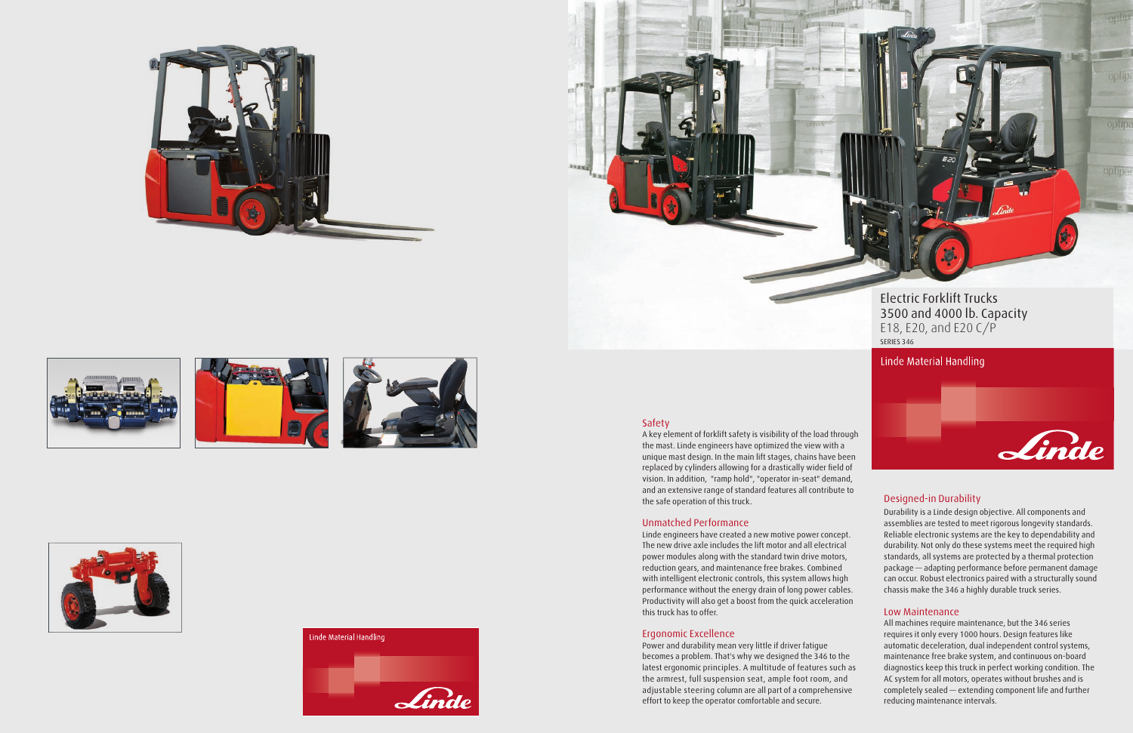Electric Forklift Trucks 3500 and 4000 lb. Capacity E18, E20, and E20 C/P SERIES 346

### Linde Material Handling

### Safety

A key element of forklift safety is visibility of the load through the mast. Linde engineers have optimized the view with a unique mast design. In the main lift stages, chains have been replaced by cylinders allowing for a drastically wider field of vision. In addition, "ramp hold", "operator in-seat" demand, and an extensive range of standard features all contribute to the safe operation of this truck.

#### Unmatched Performance

Linde engineers have created a new motive power concept. The new drive axle includes the lift motor and all electrical power modules along with the standard twin drive motors, reduction gears, and maintenance free brakes. Combined with intelligent electronic controls, this system allows high performance without the energy drain of long power cables. Productivity will also get a boost from the quick acceleration this truck has to offer.

#### Ergonomic Excellence

Power and durability mean very little if driver fatigue becomes a problem. That's why we designed the 346 to the latest ergonomic principles. A multitude of features such as the armrest, full suspension seat, ample foot room, and adjustable steering column are all part of a comprehensive effort to keep the operator comfortable and secure.

### Designed-in Durability

Durability is a Linde design objective. All components and assemblies are tested to meet rigorous longevity standards. Reliable electronic systems are the key to dependability and durability. Not only do these systems meet the required high standards, all systems are protected by a thermal protection package — adapting performance before permanent damage can occur. Robust electronics paired with a structurally sound chassis make the 346 a highly durable truck series.

Linde

#### Low Maintenance

All machines require maintenance, but the 346 series requires it only every 1000 hours. Design features like automatic deceleration, dual independent control systems, maintenance free brake system, and continuous on-board diagnostics keep this truck in perfect working condition. The AC system for all motors, operates without brushes and is completely sealed — extending component life and further reducing maintenance intervals.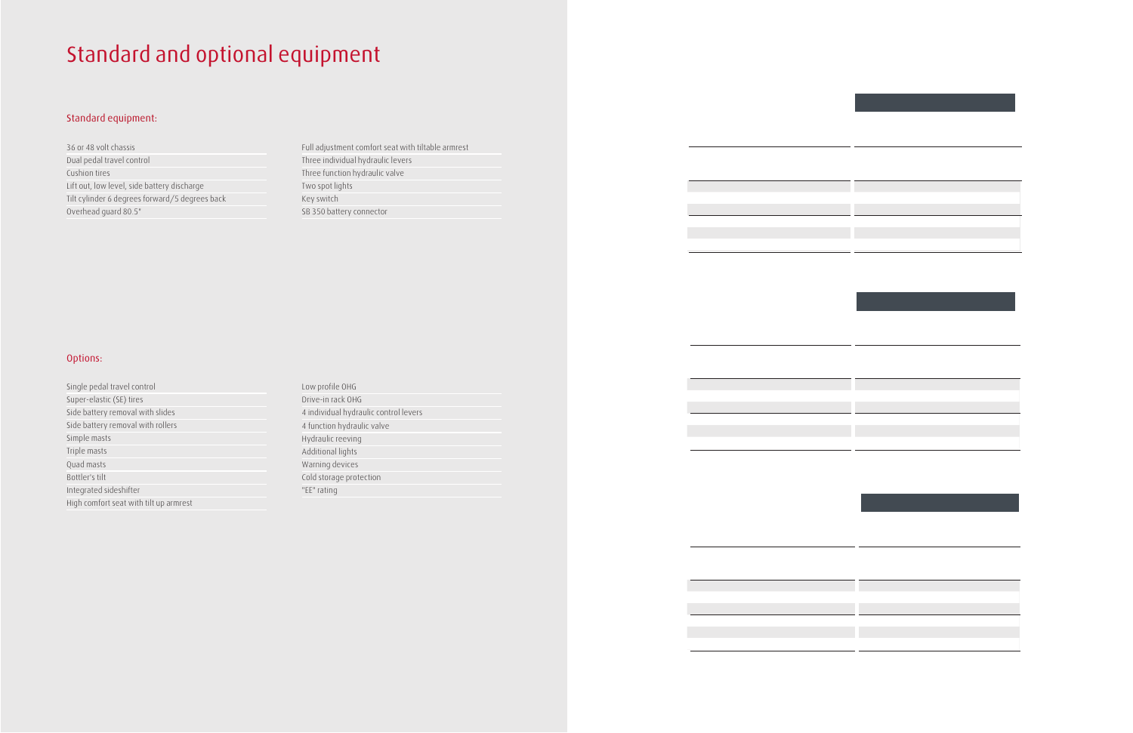# Standard and optional equipment

## Standard equipment:

36 or 48 volt chassis Dual pedal travel control Cushion tires Lift out, low level, side battery discharge Tilt cylinder 6 degrees forward/5 degrees back Overhead guard 80.5"

Full adjustment comfort seat with tiltable armrest Three individual hydraulic levers Three function hydraulic valve Two spot lights Key switch SB 350 battery connector

### Options:

| Single pedal travel control            |
|----------------------------------------|
| Super-elastic (SE) tires               |
| Side battery removal with slides       |
| Side battery removal with rollers      |
| Simple masts                           |
| Triple masts                           |
| Quad masts                             |
| Bottler's tilt                         |
| Integrated sideshifter                 |
| High comfort seat with tilt up armrest |

| Low profile OHG                       |
|---------------------------------------|
| Drive-in rack OHG                     |
| 4 individual hydraulic control levers |
| 4 function hydraulic valve            |
| Hydraulic reeving                     |
| Additional lights                     |
| Warning devices                       |
| Cold storage protection               |
| "EE" rating                           |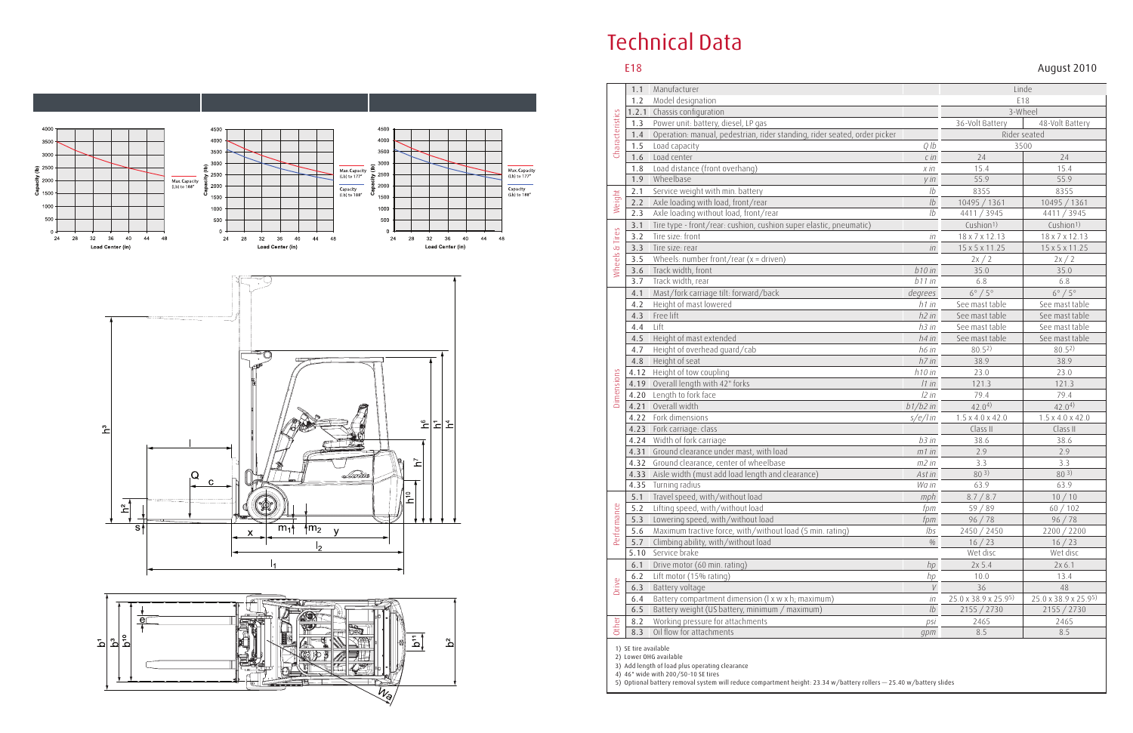# Technical Data

E18 August 2010

|                   | 1.1   | Manufacturer                                                              | Linde                              |                              |                              |
|-------------------|-------|---------------------------------------------------------------------------|------------------------------------|------------------------------|------------------------------|
| Characteristics   | 1.2   | Model designation                                                         | E18                                |                              |                              |
|                   | 1.2.1 | Chassis configuration                                                     | 3-Wheel                            |                              |                              |
|                   | 1.3   | Power unit: battery, diesel, LP gas                                       | 36-Volt Battery<br>48-Volt Battery |                              |                              |
|                   | 1.4   | Operation: manual, pedestrian, rider standing, rider seated, order picker |                                    | Rider seated                 |                              |
|                   | 1.5   | Load capacity                                                             | 3500                               |                              |                              |
|                   | 1.6   | Load center                                                               | $C$ in                             | 24                           | 24                           |
|                   | 1.8   | Load distance (front overhang)                                            | $x$ in                             | 15.4                         | 15.4                         |
|                   | 1.9   | Wheelbase                                                                 | y in                               | 55.9                         | 55.9                         |
|                   | 2.1   | Service weight with min. battery                                          | 1 <sub>b</sub>                     | 8355                         | 8355                         |
| Weight            | 2.2   | Axle loading with load, front/rear                                        | $\overline{1}b$                    | 10495 / 1361                 | 10495 / 1361                 |
|                   | 2.3   | Axle loading without load, front/rear                                     | 1 <sub>b</sub>                     | 4411 / 3945                  | 4411 / 3945                  |
|                   | 3.1   | Tire type - front/rear: cushion, cushion super elastic, pneumatic)        |                                    | Cushion <sup>1)</sup>        | Cushion <sup>1)</sup>        |
| Tires             | 3.2   | Tire size: front                                                          | $i\pi$                             | 18 x 7 x 12.13               | 18 x 7 x 12.13               |
|                   | 3.3   | Tire size: rear                                                           | $i\pi$                             | 15 x 5 x 11.25               | 15 x 5 x 11.25               |
| Wheels &          | 3.5   | Wheels: number front/rear ( $x =$ driven)                                 |                                    | 2x/2                         | 2x/2                         |
|                   | 3.6   | Track width, front                                                        | b10 in                             | 35.0                         | 35.0                         |
|                   | 3.7   | Track width, rear                                                         | $b11$ in                           | 6.8                          | 6.8                          |
|                   | 4.1   | Mast/fork carriage tilt: forward/back                                     | degrees                            | $6^\circ / 5^\circ$          | $6^\circ / 5^\circ$          |
|                   | 4.2   | Height of mast lowered                                                    | $h1$ in                            | See mast table               | See mast table               |
|                   | 4.3   | Free lift                                                                 | h2 in                              | See mast table               | See mast table               |
|                   | 4.4   | Lift                                                                      | h3 in                              | See mast table               | See mast table               |
|                   | 4.5   | Height of mast extended                                                   | h4 in                              | See mast table               | See mast table               |
|                   | 4.7   | Height of overhead guard/cab                                              | h6 in                              | 80.52)                       | 80.52)                       |
|                   | 4.8   | Height of seat                                                            | h7 in                              | 38.9                         | 38.9                         |
|                   | 4.12  | Height of tow coupling                                                    | h10 in                             | 23.0                         | 23.0                         |
|                   | 4.19  | Overall length with 42" forks                                             | 11 in                              | 121.3                        | 121.3                        |
| <b>Dimensions</b> | 4.20  | Length to fork face                                                       | 12 in                              | 79.4                         | 79.4                         |
|                   | 4.21  | Overall width                                                             | $b1/b2$ in                         | $42.0^{4}$                   | $42.0^{4}$                   |
|                   | 4.22  | Fork dimensions                                                           | s/e/lin                            | $1.5 \times 4.0 \times 42.0$ | $1.5 \times 4.0 \times 42.0$ |
|                   | 4.23  | Fork carriage: class                                                      |                                    | Class II                     | Class II                     |
|                   | 4.24  | Width of fork carriage                                                    | $b3$ in                            | 38.6                         | 38.6                         |
|                   | 4.31  | Ground clearance under mast, with load                                    | $m1$ in                            | 2.9                          | 2.9                          |
|                   | 4.32  | Ground clearance, center of wheelbase                                     | $m2$ in                            | 3.3                          | 3.3                          |
|                   | 4.33  | Aisle width (must add load length and clearance)                          | Ast in                             | 80 3)                        | 80 3)                        |
|                   |       | 4.35 Turning radius                                                       | Wa in                              | 63.9                         | 63.9                         |
|                   | 5.1   | Travel speed, with/without load                                           | mph                                | 8.7 / 8.7                    | 10/10                        |
| Performance       | 5.2   | Lifting speed, with/without load                                          | fpm                                | 59/89                        | 60/102                       |
|                   | 5.3   | Lowering speed, with/without load                                         | fpm                                | 96 / 78                      | 96 / 78                      |
|                   | 5.6   | Maximum tractive force, with/without load (5 min. rating)                 | Ibs                                | 2450 / 2450                  | 2200 / 2200                  |
|                   | 5.7   | Climbing ability, with/without load                                       | $\%$                               | 16 / 23                      | 16 / 23                      |
|                   | 5.10  | Service brake                                                             |                                    | Wet disc                     | Wet disc                     |
|                   | 6.1   | Drive motor (60 min. rating)                                              | hp                                 | 2x 5.4                       | 2x 6.1                       |
|                   | 6.2   | Lift motor (15% rating)                                                   | hp                                 | 10.0                         | 13.4                         |
| Drive             | 6.3   | Battery voltage                                                           | $\boldsymbol{V}$                   | 36                           | 48                           |
|                   | 6.4   | Battery compartment dimension (I x w x h; maximum)                        | $\dot{\mathit{in}}$                | 25.0 x 38.9 x 25.95)         | 25.0 x 38.9 x 25.95)         |
|                   | 6.5   | Battery weight (US battery, minimum / maximum)                            | 1b                                 | 2155 / 2730                  | 2155 / 2730                  |
| Other             | 8.2   | Working pressure for attachments                                          | psi                                | 2465                         | 2465                         |
|                   | 8.3   | Oil flow for attachments                                                  | gpm                                | 8.5                          | 8.5                          |

1) SE tire available

2) Lower OHG available

3) Add length of load plus operating clearance

4) 46" wide with 200/50-10 SE tires

5) Optional battery removal system will reduce compartment height: 23.34 w/battery rollers — 25.40 w/battery slides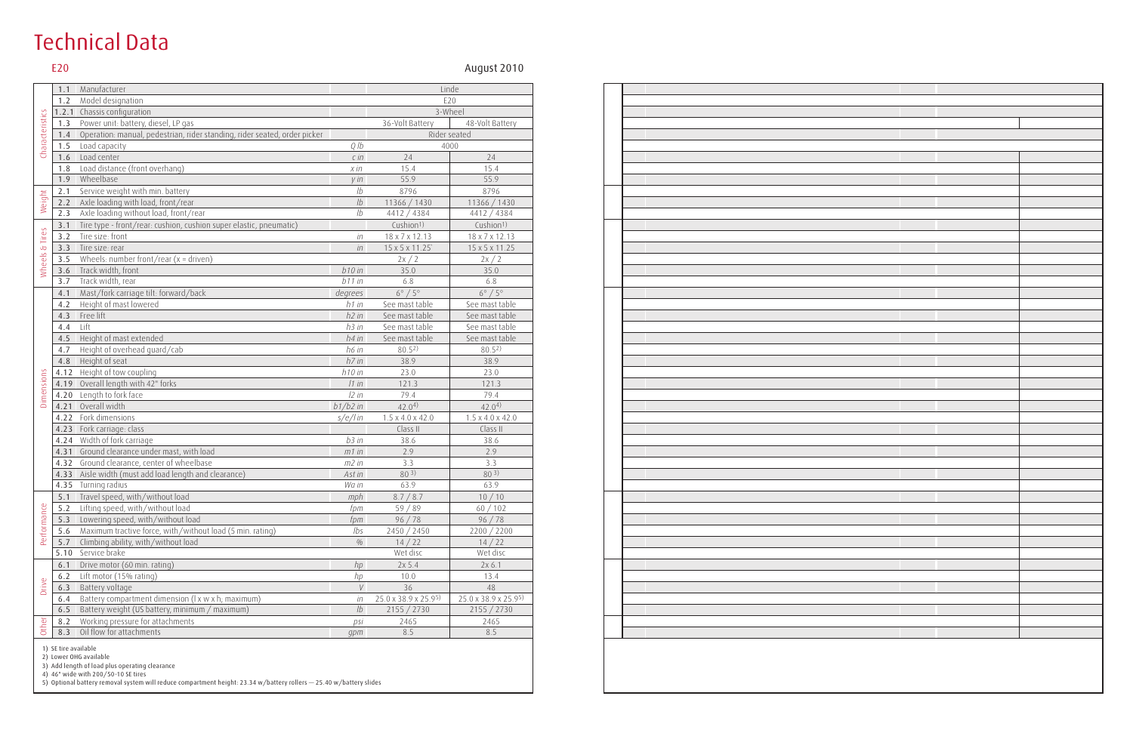# Technical Data

E20 August 2010

|                 | 1.1   | Manufacturer                                                              |                | Linde                              |                              |  |
|-----------------|-------|---------------------------------------------------------------------------|----------------|------------------------------------|------------------------------|--|
| Characteristics | 1.2   | Model designation                                                         |                | E20                                |                              |  |
|                 | 1.2.1 | Chassis configuration                                                     |                | 3-Wheel                            |                              |  |
|                 | 1.3   | Power unit: battery, diesel, LP gas                                       |                | 36-Volt Battery<br>48-Volt Battery |                              |  |
|                 | 1.4   | Operation: manual, pedestrian, rider standing, rider seated, order picker |                |                                    | Rider seated                 |  |
|                 | 1.5   | Load capacity                                                             | Q/b            | 4000                               |                              |  |
|                 | 1.6   | Load center                                                               | $C$ in         | 24                                 | 24                           |  |
|                 | 1.8   | Load distance (front overhang)                                            | $x$ in         | 15.4                               | 15.4                         |  |
|                 | 1.9   | Wheelbase                                                                 | $y$ in         | 55.9                               | 55.9                         |  |
|                 | 2.1   | Service weight with min. battery                                          | 1 <sub>b</sub> | 8796                               | 8796                         |  |
| Weight          | 2.2   | Axle loading with load, front/rear                                        | 1b             | 11366 / 1430                       | 11366 / 1430                 |  |
|                 | 2.3   | Axle loading without load, front/rear                                     | 1 <sub>b</sub> | 4412 / 4384                        | 4412 / 4384                  |  |
|                 | 3.1   | Tire type - front/rear: cushion, cushion super elastic, pneumatic)        |                | Cushion <sup>1)</sup>              | Cushion <sup>1)</sup>        |  |
| Wheels & Tires  | 3.2   | Tire size: front                                                          | iп             | 18 x 7 x 12.13                     | 18 x 7 x 12.13               |  |
|                 | 3.3   | Tire size: rear                                                           | $i\pi$         | 15 x 5 x 11.25                     | 15 x 5 x 11.25               |  |
|                 | 3.5   | Wheels: number front/rear ( $x =$ driven)                                 |                | 2x/2                               | 2x/2                         |  |
|                 | 3.6   | Track width, front                                                        | $b10$ in       | 35.0                               | 35.0                         |  |
|                 | 3.7   | Track width, rear                                                         | $b11$ in       | 6.8                                | 6.8                          |  |
|                 | 4.1   | Mast/fork carriage tilt: forward/back                                     | degrees        | $6^\circ / 5^\circ$                | $6^\circ / 5^\circ$          |  |
|                 | 4.2   | Height of mast lowered                                                    | h1 in          | See mast table                     | See mast table               |  |
|                 | 4.3   | Free lift                                                                 | $h2$ in        | See mast table                     | See mast table               |  |
|                 | 4.4   | Lift                                                                      | $h3$ in        | See mast table                     | See mast table               |  |
|                 | 4.5   | Height of mast extended                                                   | $h4$ in        | See mast table                     | See mast table               |  |
|                 | 4.7   | Height of overhead guard/cab                                              | h6 in          | 80.52                              | 80.52)                       |  |
|                 | 4.8   | Height of seat                                                            |                | 38.9                               | 38.9                         |  |
|                 | 4.12  | Height of tow coupling                                                    |                | 23.0                               | 23.0                         |  |
|                 | 4.19  | Overall length with 42" forks                                             | 11 in          | 121.3                              | 121.3                        |  |
| Dimensions      | 4.20  | Length to fork face                                                       | 12 in          | 79.4                               | 79.4                         |  |
|                 | 4.21  | Overall width                                                             | $b1/b2$ in     | $42.0^{4}$                         | 42.0 <sup>4</sup>            |  |
|                 | 4.22  | Fork dimensions                                                           | s/e/lin        | $1.5 \times 4.0 \times 42.0$       | $1.5 \times 4.0 \times 42.0$ |  |
|                 | 4.23  | Fork carriage: class                                                      |                | Class II                           | Class II                     |  |
|                 | 4.24  | Width of fork carriage                                                    | b3in           | 38.6                               | 38.6                         |  |
|                 | 4.31  | Ground clearance under mast, with load                                    | $m1$ in        | 2.9                                | 2.9                          |  |
|                 | 4.32  | Ground clearance, center of wheelbase                                     | m2 in          | 3.3                                | 3.3                          |  |
|                 |       | 4.33 Aisle width (must add load length and clearance)                     | Ast in         | 803)                               | 803)                         |  |
|                 |       | 4.35 Turning radius                                                       | Wa in          | 63.9                               | 63.9                         |  |
|                 |       | 5.1 Travel speed, with/without load                                       | mph            | 8.7 / 8.7                          | 10/10                        |  |
| Performance     | 5.2   | Lifting speed, with/without load                                          | fpm<br>fpm     | 59/89                              | 60/102                       |  |
|                 | 5.3   | Lowering speed, with/without load                                         |                | 96 / 78                            | 96 / 78                      |  |
|                 | 5.6   | Maximum tractive force, with/without load (5 min. rating)                 |                | 2450 / 2450                        | 2200 / 2200                  |  |
|                 | 5.7   | Climbing ability, with/without load                                       | $\%$           | 14/22                              | 14/22                        |  |
|                 | 5.10  | Service brake                                                             |                | Wet disc                           | Wet disc                     |  |
|                 | 6.1   | Drive motor (60 min. rating)                                              | hp<br>hp       | 2x 5.4                             | 2x 6.1                       |  |
|                 | 6.2   | Lift motor (15% rating)                                                   |                | 10.0                               | 13.4                         |  |
| <b>Drive</b>    | 6.3   | Battery voltage                                                           |                | 36                                 | 48                           |  |
|                 | 6.4   | Battery compartment dimension (I x w x h; maximum)                        | İП             | 25.0 x 38.9 x 25.95)               | 25.0 x 38.9 x 25.95)         |  |
|                 | 6.5   | Battery weight (US battery, minimum / maximum)                            | 1b             | 2155 / 2730                        | 2155 / 2730                  |  |
| Other           | 8.2   | Working pressure for attachments                                          | psi            | 2465                               | 2465                         |  |
|                 | 8.3   | Oil flow for attachments                                                  | gpm            | 8.5                                | 8.5                          |  |

1) SE tire available

2) Lower OHG available

3) Add length of load plus operating clearance

4) 46" wide with 200/50-10 SE tires

5) Optional battery removal system will reduce compartment height: 23.34 w/battery rollers — 25.40 w/battery slides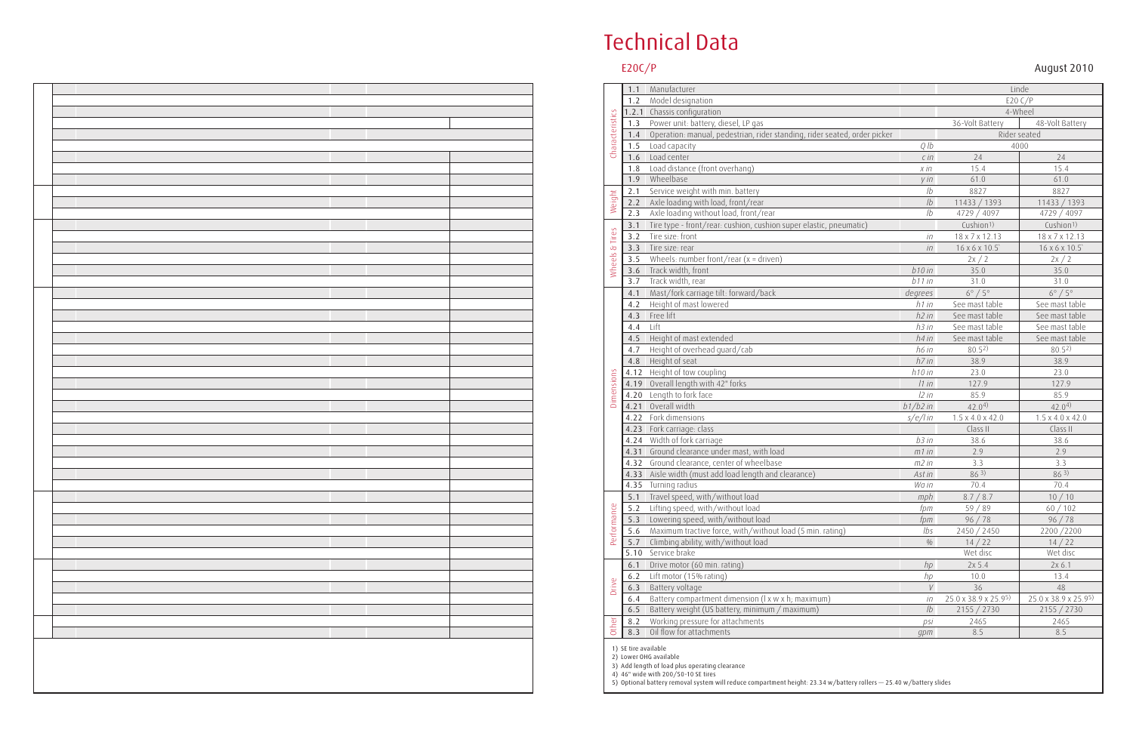# Technical Data

E20C/P August 2010

|                   | 1.1        | Manufacturer                                                              |                                    |                              |                              |  |
|-------------------|------------|---------------------------------------------------------------------------|------------------------------------|------------------------------|------------------------------|--|
| Characteristics   | 1.2        |                                                                           | Linde                              |                              |                              |  |
|                   | 1.2.1      | Model designation<br>Chassis configuration                                | E20 C/P<br>4-Wheel                 |                              |                              |  |
|                   | 1.3        | Power unit: battery, diesel, LP gas                                       | 36-Volt Battery<br>48-Volt Battery |                              |                              |  |
|                   | 1.4        | Operation: manual, pedestrian, rider standing, rider seated, order picker |                                    |                              |                              |  |
|                   |            |                                                                           |                                    | Rider seated<br>4000         |                              |  |
|                   | 1.5<br>1.6 | Load capacity<br>Load center                                              | Q/b<br>$C$ in                      | 24                           | 24                           |  |
|                   | 1.8        | Load distance (front overhang)                                            | $x$ in                             | 15.4                         | 15.4                         |  |
|                   | 1.9        | Wheelbase                                                                 | $y$ in                             | 61.0                         | 61.0                         |  |
|                   | 2.1        | Service weight with min. battery                                          | 1 <sub>b</sub>                     | 8827                         | 8827                         |  |
|                   | 2.2        | Axle loading with load, front/rear                                        | 1b                                 | 11433 / 1393                 | 11433 / 1393                 |  |
| Weight            | 2.3        | Axle loading without load, front/rear                                     | 1 <sub>b</sub>                     | 4729 / 4097                  | 4729 / 4097                  |  |
|                   | 3.1        | Tire type - front/rear: cushion, cushion super elastic, pneumatic)        |                                    | Cushion <sup>1)</sup>        | Cushion <sup>1)</sup>        |  |
| Tires             | 3.2        | Tire size: front                                                          | $i\pi$                             | 18 x 7 x 12.13               | 18 x 7 x 12.13               |  |
|                   | 3.3        | Tire size: rear                                                           | $i\pi$                             | 16 x 6 x 10.5                | 16 x 6 x 10.5                |  |
|                   | 3.5        | Wheels: number front/rear $(x =$ driven)                                  |                                    | 2x/2                         | 2x/2                         |  |
| Wheels &          | 3.6        | Track width, front                                                        | $b10$ in                           | 35.0                         | 35.0                         |  |
|                   | 3.7        | Track width, rear                                                         | $b11$ in                           | 31.0                         | 31.0                         |  |
|                   | 4.1        | Mast/fork carriage tilt: forward/back                                     | degrees                            | $6^\circ / 5^\circ$          | $6^\circ/5^\circ$            |  |
|                   | 4.2        | Height of mast lowered                                                    | h1 in                              | See mast table               | See mast table               |  |
|                   | 4.3        | Free lift                                                                 | h2 in                              | See mast table               | See mast table               |  |
|                   | 4.4        | Lift                                                                      | h3 in                              | See mast table               | See mast table               |  |
|                   | 4.5        | Height of mast extended                                                   | h4 in                              | See mast table               | See mast table               |  |
|                   | 4.7        | Height of overhead guard/cab                                              | h6 in                              | 80.52)                       | 80.52)                       |  |
|                   | 4.8        | Height of seat                                                            | h7 in                              | 38.9                         | 38.9                         |  |
|                   | 4.12       | Height of tow coupling                                                    | $h10$ in                           | 23.0                         | 23.0                         |  |
|                   | 4.19       | Overall length with 42" forks                                             | 11 in                              | 127.9                        | 127.9                        |  |
| <b>Dimensions</b> | 4.20       | Length to fork face                                                       | 12 in                              | 85.9                         | 85.9                         |  |
|                   | 4.21       | Overall width                                                             | $b1/b2$ in                         | 42.0 <sup>4</sup>            | $42.0^{4}$                   |  |
|                   | 4.22       | Fork dimensions                                                           | s/e/lin                            | $1.5 \times 4.0 \times 42.0$ | $1.5 \times 4.0 \times 42.0$ |  |
|                   | 4.23       | Fork carriage: class                                                      |                                    | Class II                     | Class II                     |  |
|                   | 4.24       | Width of fork carriage                                                    | b3in                               | 38.6                         | 38.6                         |  |
|                   | 4.31       | Ground clearance under mast, with load                                    | $m1$ in                            | 2.9                          | 2.9                          |  |
|                   | 4.32       | Ground clearance, center of wheelbase                                     | $m2$ in                            | 3.3                          | 3.3                          |  |
|                   | 4.33       | Aisle width (must add load length and clearance)                          | Ast in                             | 863)                         | 863)                         |  |
|                   |            | 4.35 Turning radius                                                       | Wa in                              | 70.4                         | 70.4                         |  |
|                   | 5.1        | Travel speed, with/without load                                           | mph                                | 8.7 / 8.7                    | 10/10                        |  |
|                   | 5.2        | Lifting speed, with/without load                                          | fpm                                | 59 / 89                      | 60/102                       |  |
|                   | 5.3        | Lowering speed, with/without load                                         | fpm                                | 96 / 78                      | 96 / 78                      |  |
| Performance       | 5.6        | Maximum tractive force, with/without load (5 min. rating)                 | lbs                                | 2450 / 2450                  | 2200/2200                    |  |
|                   | 5.7        | Climbing ability, with/without load                                       | $\%$                               | 14/22                        | 14/22                        |  |
|                   | 5.10       | Service brake                                                             |                                    | Wet disc                     | Wet disc                     |  |
|                   | 6.1        | Drive motor (60 min. rating)                                              | hp                                 | 2x 5.4                       | 2x 6.1                       |  |
|                   | $6.2$      | Lift motor (15% rating)                                                   | hp                                 | 10.0                         | 13.4                         |  |
| Drive             | 6.3        | Battery voltage                                                           | V                                  | 36                           | 48                           |  |
|                   | 6.4        | Battery compartment dimension (I x w x h; maximum)                        | İП                                 | 25.0 x 38.9 x 25.95)         | 25.0 x 38.9 x 25.95)         |  |
|                   | 6.5        | Battery weight (US battery, minimum / maximum)                            | 1b                                 | 2155 / 2730                  | 2155 / 2730                  |  |
| <b>Other</b>      | 8.2        | Working pressure for attachments                                          | psi                                | 2465                         | 2465                         |  |
|                   | 8.3        | Oil flow for attachments                                                  | gpm                                | 8.5                          | 8.5                          |  |

1) SE tire available

2) Lower OHG available

3) Add length of load plus operating clearance

4) 46" wide with 200/50-10 SE tires

5) Optional battery removal system will reduce compartment height: 23.34 w/battery rollers — 25.40 w/battery slides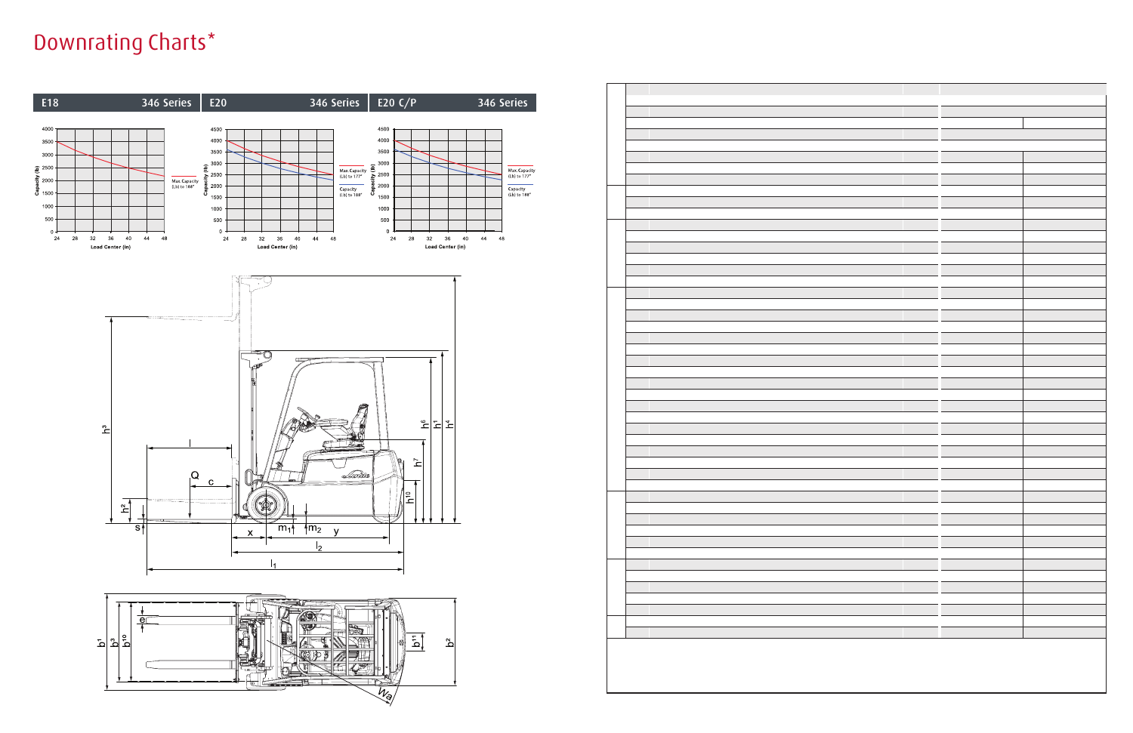# Downrating Charts\*

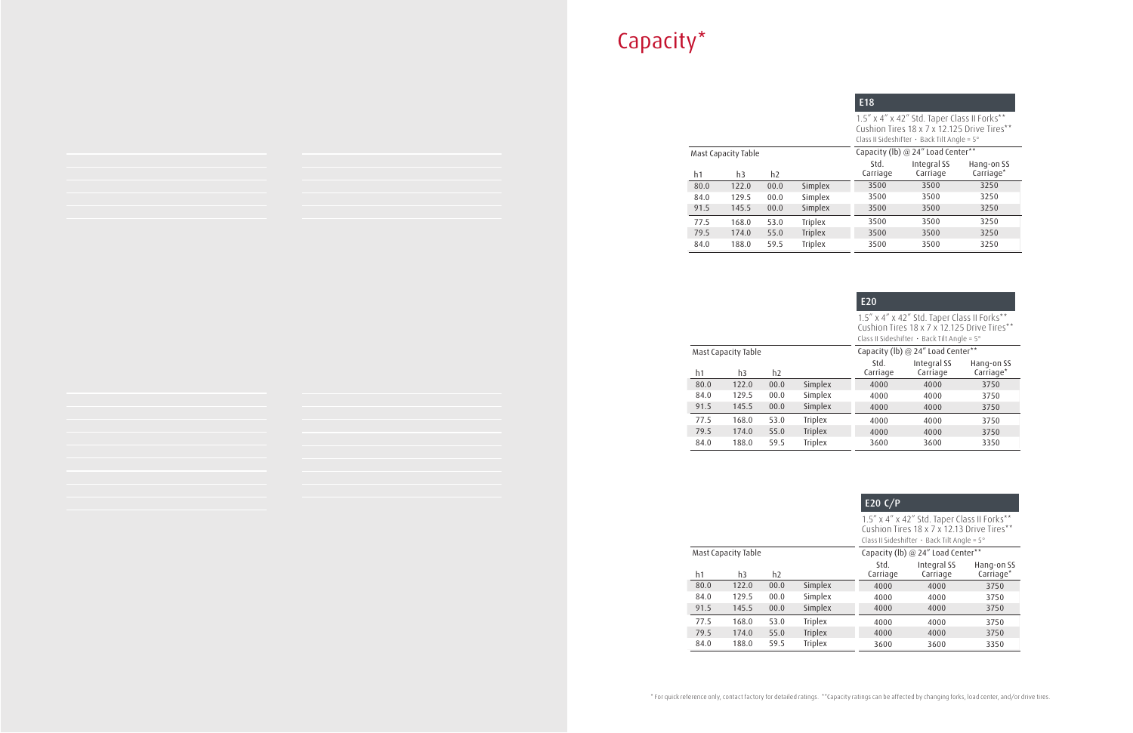# Capacity\*

|      |                     |      |                | E <sub>18</sub>  |                                                                                                                                                        |                         |
|------|---------------------|------|----------------|------------------|--------------------------------------------------------------------------------------------------------------------------------------------------------|-------------------------|
|      |                     |      |                |                  | 1.5" x 4" x 42" Std. Taper Class II Forks**<br>Cushion Tires 18 x 7 x 12.125 Drive Tires**<br>Class II Sideshifter $\cdot$ Back Tilt Angle = 5 $\circ$ |                         |
|      | Mast Capacity Table |      |                |                  | Capacity (lb) @ 24" Load Center**                                                                                                                      |                         |
| h1   | h3                  | h2   |                | Std.<br>Carriage | Integral SS<br>Carriage                                                                                                                                | Hang-on SS<br>Carriage* |
| 80.0 | 122.0               | 00.0 | Simplex        | 3500             | 3500                                                                                                                                                   | 3250                    |
| 84.0 | 129.5               | 00.0 | Simplex        | 3500             | 3500                                                                                                                                                   | 3250                    |
| 91.5 | 145.5               | 00.0 | Simplex        | 3500             | 3500                                                                                                                                                   | 3250                    |
| 77.5 | 168.0               | 53.0 | <b>Triplex</b> | 3500             | 3500                                                                                                                                                   | 3250                    |
| 79.5 | 174.0               | 55.0 | <b>Triplex</b> | 3500             | 3500                                                                                                                                                   | 3250                    |
| 84.0 | 188.0               | 59.5 | <b>Triplex</b> | 3500             | 3500                                                                                                                                                   | 3250                    |

|      |                     |                |                | E <sub>20</sub>                                                                                                                                        |                                   |                         |  |
|------|---------------------|----------------|----------------|--------------------------------------------------------------------------------------------------------------------------------------------------------|-----------------------------------|-------------------------|--|
|      |                     |                |                | 1.5" x 4" x 42" Std. Taper Class II Forks**<br>Cushion Tires 18 x 7 x 12.125 Drive Tires**<br>Class II Sideshifter $\cdot$ Back Tilt Angle = 5 $\circ$ |                                   |                         |  |
|      | Mast Capacity Table |                |                |                                                                                                                                                        | Capacity (lb) @ 24" Load Center** |                         |  |
| h1   | h <sub>3</sub>      | h <sub>2</sub> |                | Std.<br>Carriage                                                                                                                                       | Integral SS<br>Carriage           | Hang-on SS<br>Carriage* |  |
| 80.0 | 122.0               | 00.0           | Simplex        | 4000                                                                                                                                                   | 4000                              | 3750                    |  |
| 84.0 | 129.5               | 00.0           | Simplex        | 4000                                                                                                                                                   | 4000                              | 3750                    |  |
| 91.5 | 145.5               | 00.0           | Simplex        | 4000                                                                                                                                                   | 4000                              | 3750                    |  |
| 77.5 | 168.0               | 53.0           | <b>Triplex</b> | 4000                                                                                                                                                   | 4000                              | 3750                    |  |
| 79.5 | 174.0               | 55.0           | <b>Triplex</b> | 4000                                                                                                                                                   | 4000                              | 3750                    |  |
| 84.0 | 188.0               | 59.5           | <b>Triplex</b> | 3600                                                                                                                                                   | 3600                              | 3350                    |  |

|                                                                                                                                                |                     |                |                | E20 $C/P$        |                                   |                         |
|------------------------------------------------------------------------------------------------------------------------------------------------|---------------------|----------------|----------------|------------------|-----------------------------------|-------------------------|
| 1.5" x 4" x 42" Std. Taper Class II Forks**<br>Cushion Tires 18 x 7 x 12.13 Drive Tires**<br>Class II Sideshifter $\cdot$ Back Tilt Angle = 5° |                     |                |                |                  |                                   |                         |
|                                                                                                                                                | Mast Capacity Table |                |                |                  | Capacity (lb) @ 24" Load Center** |                         |
| h1                                                                                                                                             | h3                  | h <sub>2</sub> |                | Std.<br>Carriage | Integral SS<br>Carriage           | Hang-on SS<br>Carriage* |
| 80.0                                                                                                                                           | 122.0               | 00.0           | Simplex        | 4000             | 4000                              | 3750                    |
| 84.0                                                                                                                                           | 129.5               | 00.0           | Simplex        | 4000             | 4000                              | 3750                    |
| 91.5                                                                                                                                           | 145.5               | 00.0           | Simplex        | 4000             | 4000                              | 3750                    |
| 77.5                                                                                                                                           | 168.0               | 53.0           | <b>Triplex</b> | 4000             | 4000                              | 3750                    |
| 79.5                                                                                                                                           | 174.0               | 55.0           | <b>Triplex</b> | 4000             | 4000                              | 3750                    |
| 84.0                                                                                                                                           | 188.0               | 59.5           | <b>Triplex</b> | 3600             | 3600                              | 3350                    |

\* For quick reference only, contact factory for detailed ratings. \*\*Capacity ratings can be affected by changing forks, load center, and/or drive tires.